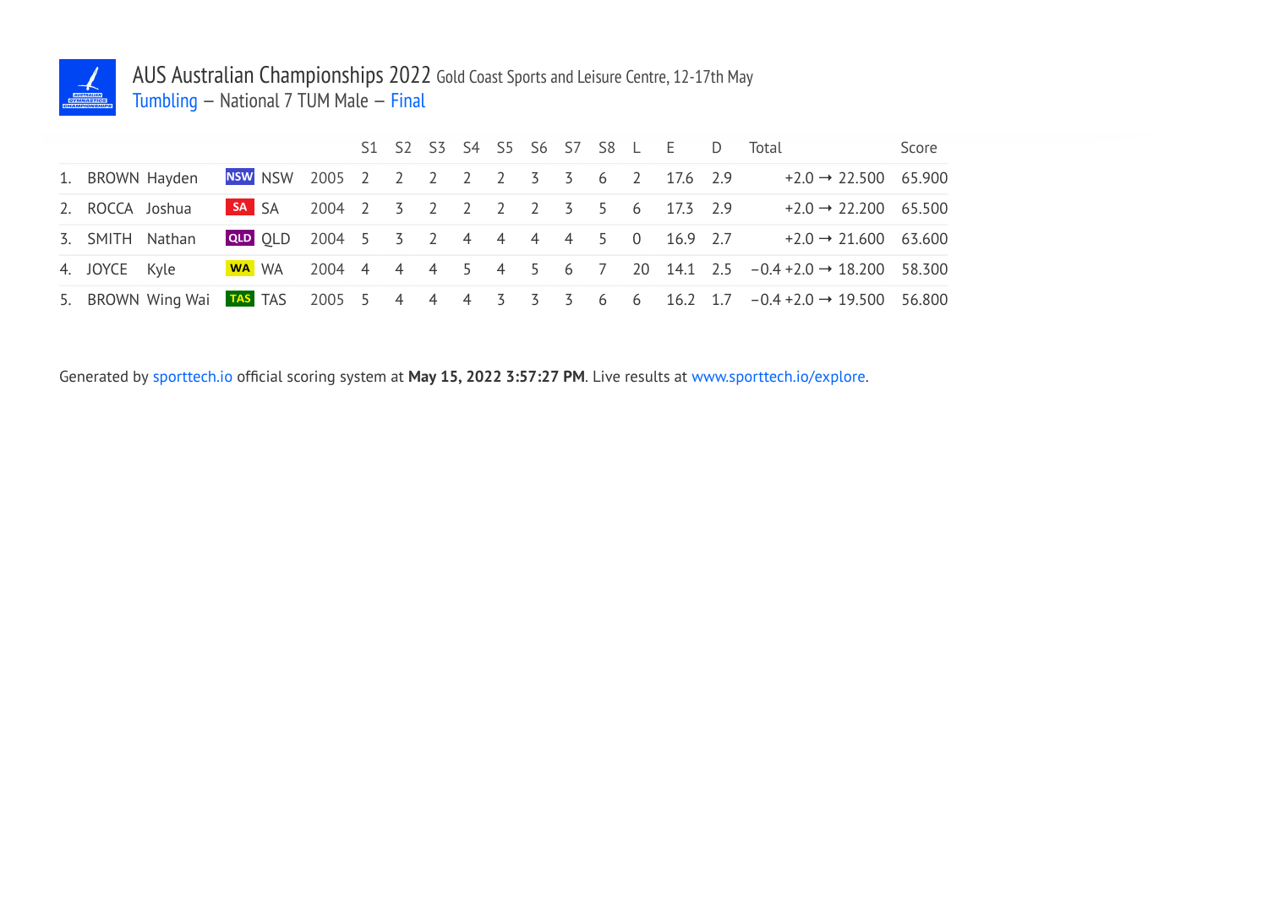

## AUS Australian Championships 2022 Gold Coast Sports and Leisure Centre, 12-17th May Tumbling — National 7 TUM Male — Final

|                 |                 |  |                                         |  |  |  |  |  | S1 S2 S3 S4 S5 S6 S7 S8 L E D Total                                                              | Score |
|-----------------|-----------------|--|-----------------------------------------|--|--|--|--|--|--------------------------------------------------------------------------------------------------|-------|
|                 | 1. BROWN Hayden |  | NSW NSW 2005 2 2 2 2 2 3 3 6 2 17.6 2.9 |  |  |  |  |  | $+2.0 \rightarrow 22.500$ 65.900                                                                 |       |
| 2. ROCCA Joshua |                 |  | SA SA 2004 2 3 2 2 2 2 3 5 6 17.3 2.9   |  |  |  |  |  | $+2.0 \rightarrow 22.200$ 65.500                                                                 |       |
| 3. SMITH Nathan |                 |  | QLD 0LD 2004 5 3 2 4 4 4 4 5 0 16.9 2.7 |  |  |  |  |  | $+2.0 \rightarrow 21.600$ 63.600                                                                 |       |
| 4. JOYCE Kyle   |                 |  |                                         |  |  |  |  |  | WA WA 2004 4 4 4 5 4 5 6 7 20 14.1 2.5 $-0.4 + 2.0 \rightarrow 18.200$ 58.300                    |       |
|                 |                 |  |                                         |  |  |  |  |  | 5. BROWN Wing Wai TAS TAS 2005 5 4 4 4 3 3 3 6 6 16.2 1.7 $-0.4 + 2.0 \rightarrow 19.500$ 56.800 |       |

Generated by sporttech.io official scoring system at **May 15, 2022 3:57:27 PM**. Live results at www.sporttech.io/explore.